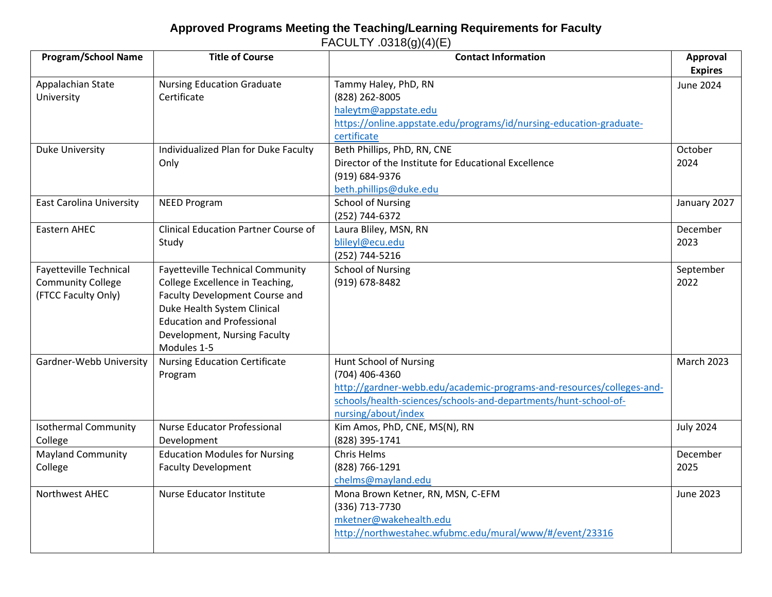## **Approved Programs Meeting the Teaching/Learning Requirements for Faculty** FACULTY .0318(g)(4)(E)

| <b>Program/School Name</b>      | <b>Title of Course</b>                      | <b>Contact Information</b>                                            | Approval          |
|---------------------------------|---------------------------------------------|-----------------------------------------------------------------------|-------------------|
|                                 |                                             |                                                                       | <b>Expires</b>    |
| Appalachian State               | <b>Nursing Education Graduate</b>           | Tammy Haley, PhD, RN                                                  | June 2024         |
| University                      | Certificate                                 | (828) 262-8005                                                        |                   |
|                                 |                                             | haleytm@appstate.edu                                                  |                   |
|                                 |                                             | https://online.appstate.edu/programs/id/nursing-education-graduate-   |                   |
|                                 |                                             | certificate                                                           |                   |
| Duke University                 | Individualized Plan for Duke Faculty        | Beth Phillips, PhD, RN, CNE                                           | October           |
|                                 | Only                                        | Director of the Institute for Educational Excellence                  | 2024              |
|                                 |                                             | (919) 684-9376                                                        |                   |
|                                 |                                             | beth.phillips@duke.edu                                                |                   |
| <b>East Carolina University</b> | <b>NEED Program</b>                         | <b>School of Nursing</b>                                              | January 2027      |
|                                 |                                             | (252) 744-6372                                                        |                   |
| Eastern AHEC                    | <b>Clinical Education Partner Course of</b> | Laura Bliley, MSN, RN                                                 | December          |
|                                 | Study                                       | blileyl@ecu.edu                                                       | 2023              |
|                                 |                                             | (252) 744-5216                                                        |                   |
| Fayetteville Technical          | <b>Fayetteville Technical Community</b>     | <b>School of Nursing</b>                                              | September         |
| <b>Community College</b>        | College Excellence in Teaching,             | (919) 678-8482                                                        | 2022              |
| (FTCC Faculty Only)             | Faculty Development Course and              |                                                                       |                   |
|                                 | Duke Health System Clinical                 |                                                                       |                   |
|                                 | <b>Education and Professional</b>           |                                                                       |                   |
|                                 | Development, Nursing Faculty                |                                                                       |                   |
|                                 | Modules 1-5                                 |                                                                       |                   |
| Gardner-Webb University         | <b>Nursing Education Certificate</b>        | Hunt School of Nursing                                                | <b>March 2023</b> |
|                                 | Program                                     | (704) 406-4360                                                        |                   |
|                                 |                                             | http://gardner-webb.edu/academic-programs-and-resources/colleges-and- |                   |
|                                 |                                             | schools/health-sciences/schools-and-departments/hunt-school-of-       |                   |
|                                 |                                             | nursing/about/index                                                   |                   |
| <b>Isothermal Community</b>     | Nurse Educator Professional                 | Kim Amos, PhD, CNE, MS(N), RN                                         | <b>July 2024</b>  |
| College                         | Development                                 | (828) 395-1741                                                        |                   |
| <b>Mayland Community</b>        | <b>Education Modules for Nursing</b>        | Chris Helms                                                           | December          |
| College                         | <b>Faculty Development</b>                  | (828) 766-1291                                                        | 2025              |
|                                 |                                             | chelms@mayland.edu                                                    |                   |
| Northwest AHEC                  | Nurse Educator Institute                    | Mona Brown Ketner, RN, MSN, C-EFM                                     | <b>June 2023</b>  |
|                                 |                                             | (336) 713-7730                                                        |                   |
|                                 |                                             | mketner@wakehealth.edu                                                |                   |
|                                 |                                             | http://northwestahec.wfubmc.edu/mural/www/#/event/23316               |                   |
|                                 |                                             |                                                                       |                   |